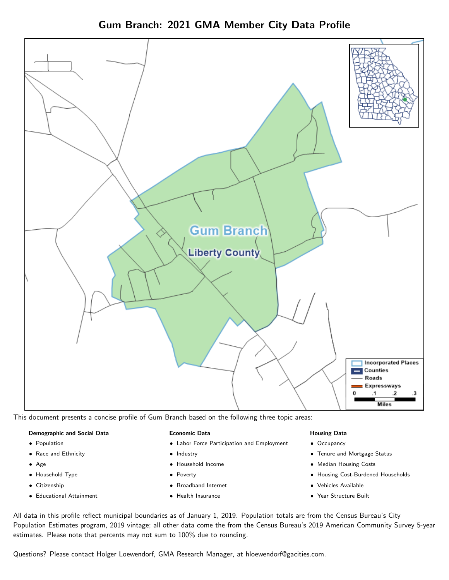Gum Branch: 2021 GMA Member City Data Profile



This document presents a concise profile of Gum Branch based on the following three topic areas:

#### Demographic and Social Data

- Population
- Race and Ethnicity
- Age
- Household Type
- Citizenship
- Educational Attainment

#### Economic Data

- Labor Force Participation and Employment
- Industry
- Household Income
- Poverty
- Broadband Internet
- Health Insurance

#### Housing Data

- Occupancy
- Tenure and Mortgage Status
- Median Housing Costs
- Housing Cost-Burdened Households
- Vehicles Available
- Year Structure Built

All data in this profile reflect municipal boundaries as of January 1, 2019. Population totals are from the Census Bureau's City Population Estimates program, 2019 vintage; all other data come the from the Census Bureau's 2019 American Community Survey 5-year estimates. Please note that percents may not sum to 100% due to rounding.

Questions? Please contact Holger Loewendorf, GMA Research Manager, at [hloewendorf@gacities.com.](mailto:hloewendorf@gacities.com)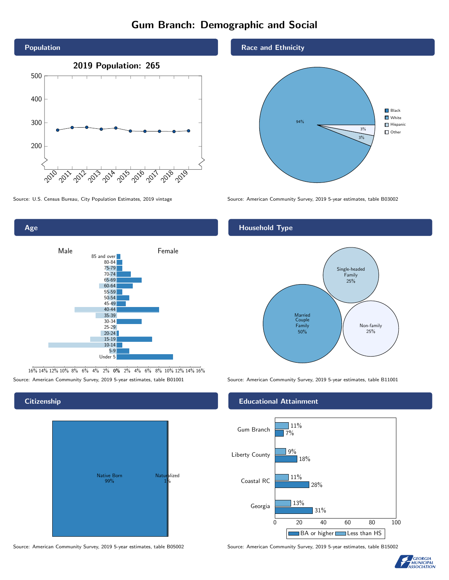# Gum Branch: Demographic and Social





Age



16% 14% 12% 10% 8% 6% 4% 2% 0% 2% 4% 6% 8% 10% 12% 14% 16% Source: American Community Survey, 2019 5-year estimates, table B01001 Source: American Community Survey, 2019 5-year estimates, table B11001

**Citizenship** 



Source: American Community Survey, 2019 5-year estimates, table B05002 Source: American Community Survey, 2019 5-year estimates, table B15002

#### Race and Ethnicity



Source: U.S. Census Bureau, City Population Estimates, 2019 vintage Source: American Community Survey, 2019 5-year estimates, table B03002

#### Household Type



#### Educational Attainment



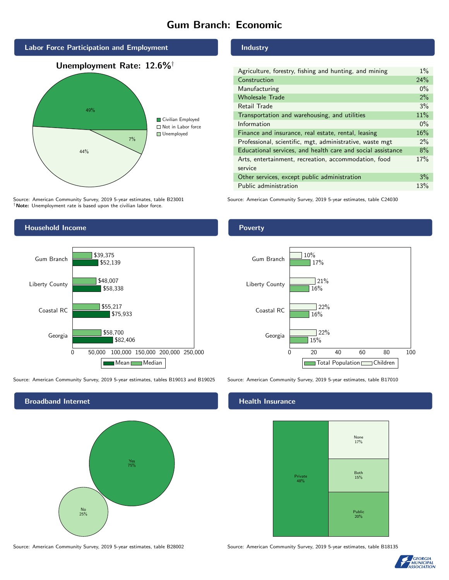## Gum Branch: Economic



Source: American Community Survey, 2019 5-year estimates, table B23001 †Note: Unemployment rate is based upon the civilian labor force.

#### Household Income



Source: American Community Survey, 2019 5-year estimates, tables B19013 and B19025 Source: American Community Survey, 2019 5-year estimates, table B17010

Broadband Internet No 25% Yes 75%

Source: American Community Survey, 2019 5-year estimates, table B28002 Source: American Community Survey, 2019 5-year estimates, table B18135

#### **Industry**

| Agriculture, forestry, fishing and hunting, and mining      | $1\%$ |
|-------------------------------------------------------------|-------|
| Construction                                                | 24%   |
| Manufacturing                                               | $0\%$ |
| <b>Wholesale Trade</b>                                      | 2%    |
| Retail Trade                                                | 3%    |
| Transportation and warehousing, and utilities               | 11%   |
| Information                                                 | $0\%$ |
| Finance and insurance, real estate, rental, leasing         | 16%   |
| Professional, scientific, mgt, administrative, waste mgt    | $2\%$ |
| Educational services, and health care and social assistance | 8%    |
| Arts, entertainment, recreation, accommodation, food        | 17%   |
| service                                                     |       |
| Other services, except public administration                | 3%    |
| Public administration                                       | 13%   |

Source: American Community Survey, 2019 5-year estimates, table C24030

#### Poverty



#### Health Insurance